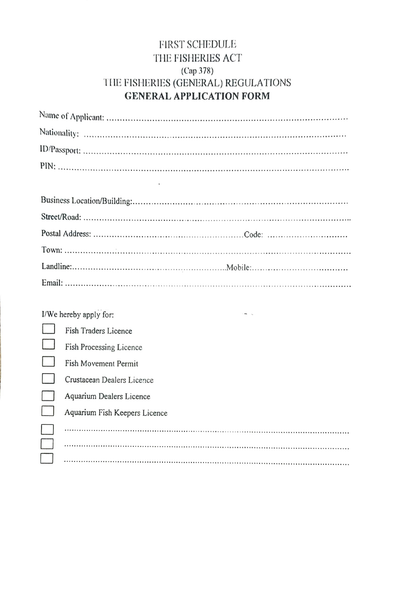## **FIRST SCHEDULE** THE FISHERIES ACT (Cap 378) THE FISHERIES (GENERAL) REGULATIONS **GENERAL APPLICATION FORM**

| I/We hereby apply for:        |
|-------------------------------|
| Fish Traders Licence          |
| Fish Processing Licence       |
| Fish Movement Permit          |
| Crustacean Dealers Licence    |
| Aquarium Dealers Licence      |
| Aquarium Fish Keepers Licence |
|                               |
|                               |
|                               |